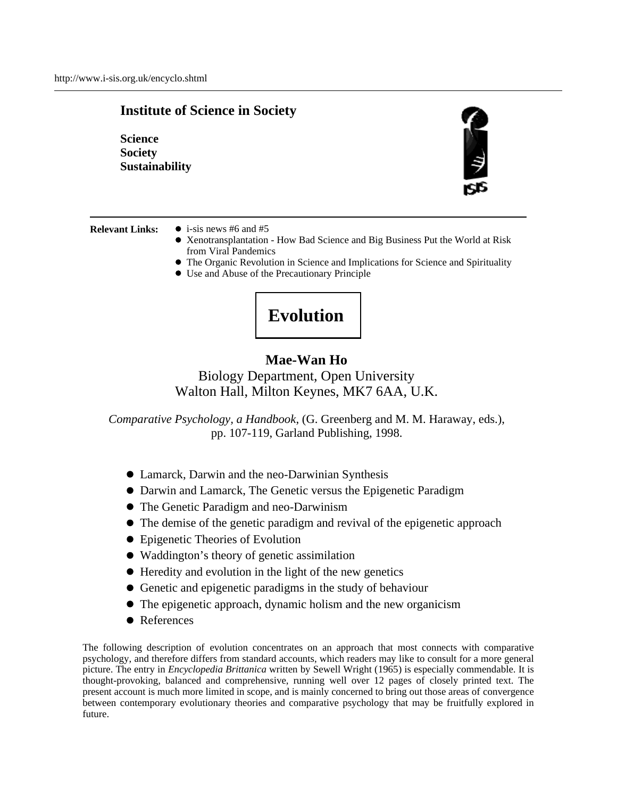# **Institute of Science in Society**

**Science Society Sustainability** 



**Relevant Links:**  $\bullet$  i-sis news #6 and #5

- Xenotransplantation How Bad Science and Big Business Put the World at Risk from Viral Pandemics
- The Organic Revolution in Science and Implications for Science and Spirituality
- Use and Abuse of the Precautionary Principle



## **Mae-Wan Ho**

Biology Department, Open University Walton Hall, Milton Keynes, MK7 6AA, U.K.

*Comparative Psychology, a Handbook*, (G. Greenberg and M. M. Haraway, eds.), pp. 107-119, Garland Publishing, 1998.

- Lamarck, Darwin and the neo-Darwinian Synthesis
- Darwin and Lamarck, The Genetic versus the Epigenetic Paradigm
- The Genetic Paradigm and neo-Darwinism
- The demise of the genetic paradigm and revival of the epigenetic approach
- Epigenetic Theories of Evolution
- Waddington's theory of genetic assimilation
- $\bullet$  Heredity and evolution in the light of the new genetics
- Genetic and epigenetic paradigms in the study of behaviour
- The epigenetic approach, dynamic holism and the new organicism
- References

The following description of evolution concentrates on an approach that most connects with comparative psychology, and therefore differs from standard accounts, which readers may like to consult for a more general picture. The entry in *Encyclopedia Brittanica* written by Sewell Wright (1965) is especially commendable. It is thought-provoking, balanced and comprehensive, running well over 12 pages of closely printed text. The present account is much more limited in scope, and is mainly concerned to bring out those areas of convergence between contemporary evolutionary theories and comparative psychology that may be fruitfully explored in future.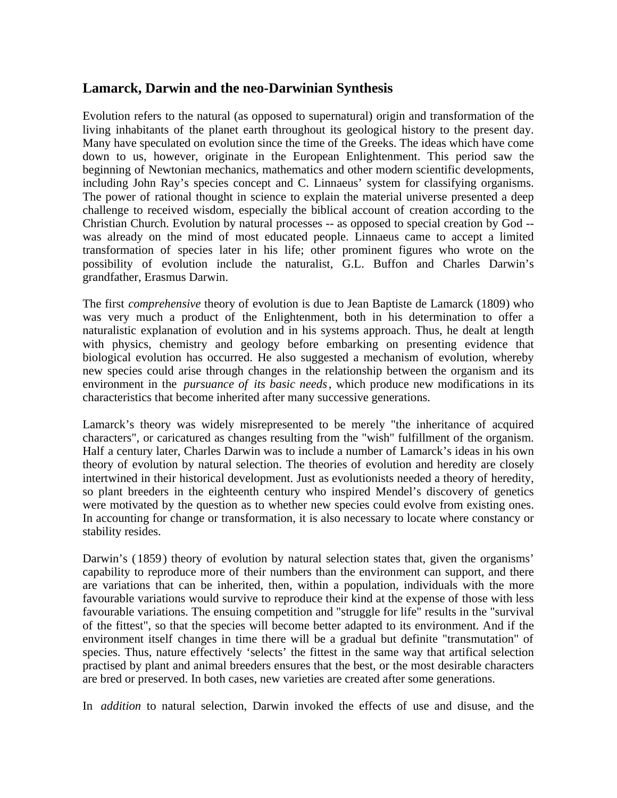## **Lamarck, Darwin and the neo-Darwinian Synthesis**

Evolution refers to the natural (as opposed to supernatural) origin and transformation of the living inhabitants of the planet earth throughout its geological history to the present day. Many have speculated on evolution since the time of the Greeks. The ideas which have come down to us, however, originate in the European Enlightenment. This period saw the beginning of Newtonian mechanics, mathematics and other modern scientific developments, including John Ray's species concept and C. Linnaeus' system for classifying organisms. The power of rational thought in science to explain the material universe presented a deep challenge to received wisdom, especially the biblical account of creation according to the Christian Church. Evolution by natural processes -- as opposed to special creation by God - was already on the mind of most educated people. Linnaeus came to accept a limited transformation of species later in his life; other prominent figures who wrote on the possibility of evolution include the naturalist, G.L. Buffon and Charles Darwin's grandfather, Erasmus Darwin.

The first *comprehensive* theory of evolution is due to Jean Baptiste de Lamarck (1809) who was very much a product of the Enlightenment, both in his determination to offer a naturalistic explanation of evolution and in his systems approach. Thus, he dealt at length with physics, chemistry and geology before embarking on presenting evidence that biological evolution has occurred. He also suggested a mechanism of evolution, whereby new species could arise through changes in the relationship between the organism and its environment in the *pursuance of its basic needs*, which produce new modifications in its characteristics that become inherited after many successive generations.

Lamarck's theory was widely misrepresented to be merely "the inheritance of acquired characters", or caricatured as changes resulting from the "wish" fulfillment of the organism. Half a century later, Charles Darwin was to include a number of Lamarck's ideas in his own theory of evolution by natural selection. The theories of evolution and heredity are closely intertwined in their historical development. Just as evolutionists needed a theory of heredity, so plant breeders in the eighteenth century who inspired Mendel's discovery of genetics were motivated by the question as to whether new species could evolve from existing ones. In accounting for change or transformation, it is also necessary to locate where constancy or stability resides.

Darwin's (1859) theory of evolution by natural selection states that, given the organisms' capability to reproduce more of their numbers than the environment can support, and there are variations that can be inherited, then, within a population, individuals with the more favourable variations would survive to reproduce their kind at the expense of those with less favourable variations. The ensuing competition and "struggle for life" results in the "survival of the fittest", so that the species will become better adapted to its environment. And if the environment itself changes in time there will be a gradual but definite "transmutation" of species. Thus, nature effectively 'selects' the fittest in the same way that artifical selection practised by plant and animal breeders ensures that the best, or the most desirable characters are bred or preserved. In both cases, new varieties are created after some generations.

In *addition* to natural selection, Darwin invoked the effects of use and disuse, and the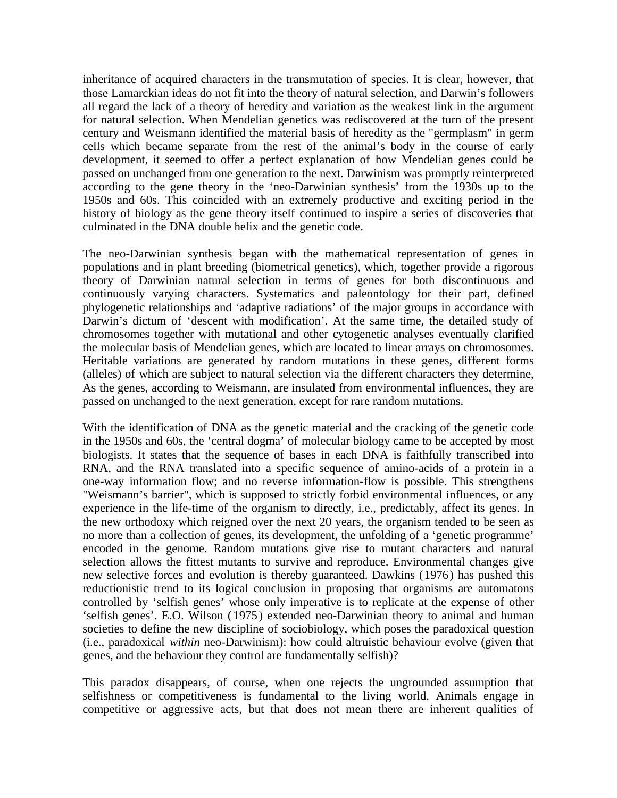inheritance of acquired characters in the transmutation of species. It is clear, however, that those Lamarckian ideas do not fit into the theory of natural selection, and Darwin's followers all regard the lack of a theory of heredity and variation as the weakest link in the argument for natural selection. When Mendelian genetics was rediscovered at the turn of the present century and Weismann identified the material basis of heredity as the "germplasm" in germ cells which became separate from the rest of the animal's body in the course of early development, it seemed to offer a perfect explanation of how Mendelian genes could be passed on unchanged from one generation to the next. Darwinism was promptly reinterpreted according to the gene theory in the 'neo-Darwinian synthesis' from the 1930s up to the 1950s and 60s. This coincided with an extremely productive and exciting period in the history of biology as the gene theory itself continued to inspire a series of discoveries that culminated in the DNA double helix and the genetic code.

The neo-Darwinian synthesis began with the mathematical representation of genes in populations and in plant breeding (biometrical genetics), which, together provide a rigorous theory of Darwinian natural selection in terms of genes for both discontinuous and continuously varying characters. Systematics and paleontology for their part, defined phylogenetic relationships and 'adaptive radiations' of the major groups in accordance with Darwin's dictum of 'descent with modification'. At the same time, the detailed study of chromosomes together with mutational and other cytogenetic analyses eventually clarified the molecular basis of Mendelian genes, which are located to linear arrays on chromosomes. Heritable variations are generated by random mutations in these genes, different forms (alleles) of which are subject to natural selection via the different characters they determine, As the genes, according to Weismann, are insulated from environmental influences, they are passed on unchanged to the next generation, except for rare random mutations.

With the identification of DNA as the genetic material and the cracking of the genetic code in the 1950s and 60s, the 'central dogma' of molecular biology came to be accepted by most biologists. It states that the sequence of bases in each DNA is faithfully transcribed into RNA, and the RNA translated into a specific sequence of amino-acids of a protein in a one-way information flow; and no reverse information-flow is possible. This strengthens "Weismann's barrier", which is supposed to strictly forbid environmental influences, or any experience in the life-time of the organism to directly, i.e., predictably, affect its genes. In the new orthodoxy which reigned over the next 20 years, the organism tended to be seen as no more than a collection of genes, its development, the unfolding of a 'genetic programme' encoded in the genome. Random mutations give rise to mutant characters and natural selection allows the fittest mutants to survive and reproduce. Environmental changes give new selective forces and evolution is thereby guaranteed. Dawkins (1976) has pushed this reductionistic trend to its logical conclusion in proposing that organisms are automatons controlled by 'selfish genes' whose only imperative is to replicate at the expense of other 'selfish genes'. E.O. Wilson (1975 ) extended neo-Darwinian theory to animal and human societies to define the new discipline of sociobiology, which poses the paradoxical question (i.e., paradoxical *within* neo-Darwinism): how could altruistic behaviour evolve (given that genes, and the behaviour they control are fundamentally selfish)?

This paradox disappears, of course, when one rejects the ungrounded assumption that selfishness or competitiveness is fundamental to the living world. Animals engage in competitive or aggressive acts, but that does not mean there are inherent qualities of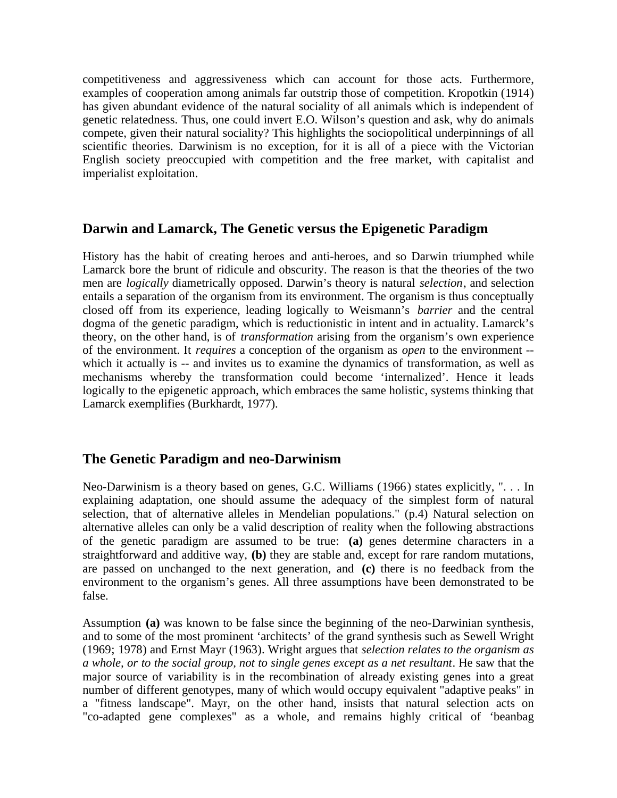competitiveness and aggressiveness which can account for those acts. Furthermore, examples of cooperation among animals far outstrip those of competition. Kropotkin (1914) has given abundant evidence of the natural sociality of all animals which is independent of genetic relatedness. Thus, one could invert E.O. Wilson's question and ask, why do animals compete, given their natural sociality? This highlights the sociopolitical underpinnings of all scientific theories. Darwinism is no exception, for it is all of a piece with the Victorian English society preoccupied with competition and the free market, with capitalist and imperialist exploitation.

## **Darwin and Lamarck, The Genetic versus the Epigenetic Paradigm**

History has the habit of creating heroes and anti-heroes, and so Darwin triumphed while Lamarck bore the brunt of ridicule and obscurity. The reason is that the theories of the two men are *logically* diametrically opposed. Darwin's theory is natural *selection*, and selection entails a separation of the organism from its environment. The organism is thus conceptually closed off from its experience, leading logically to Weismann's *barrier* and the central dogma of the genetic paradigm, which is reductionistic in intent and in actuality. Lamarck's theory, on the other hand, is of *transformation* arising from the organism's own experience of the environment. It *requires* a conception of the organism as *open* to the environment - which it actually is -- and invites us to examine the dynamics of transformation, as well as mechanisms whereby the transformation could become 'internalized'. Hence it leads logically to the epigenetic approach, which embraces the same holistic, systems thinking that Lamarck exemplifies (Burkhardt, 1977).

## **The Genetic Paradigm and neo-Darwinism**

Neo-Darwinism is a theory based on genes, G.C. Williams (1966) states explicitly, ". . . In explaining adaptation, one should assume the adequacy of the simplest form of natural selection, that of alternative alleles in Mendelian populations." (p.4) Natural selection on alternative alleles can only be a valid description of reality when the following abstractions of the genetic paradigm are assumed to be true: **(a)** genes determine characters in a straightforward and additive way, **(b)** they are stable and, except for rare random mutations, are passed on unchanged to the next generation, and **(c)** there is no feedback from the environment to the organism's genes. All three assumptions have been demonstrated to be false.

Assumption **(a)** was known to be false since the beginning of the neo-Darwinian synthesis, and to some of the most prominent 'architects' of the grand synthesis such as Sewell Wright (1969; 1978) and Ernst Mayr (1963). Wright argues that *selection relates to the organism as a whole, or to the social group, not to single genes except as a net resultant*. He saw that the major source of variability is in the recombination of already existing genes into a great number of different genotypes, many of which would occupy equivalent "adaptive peaks" in a "fitness landscape". Mayr, on the other hand, insists that natural selection acts on "co-adapted gene complexes" as a whole, and remains highly critical of 'beanbag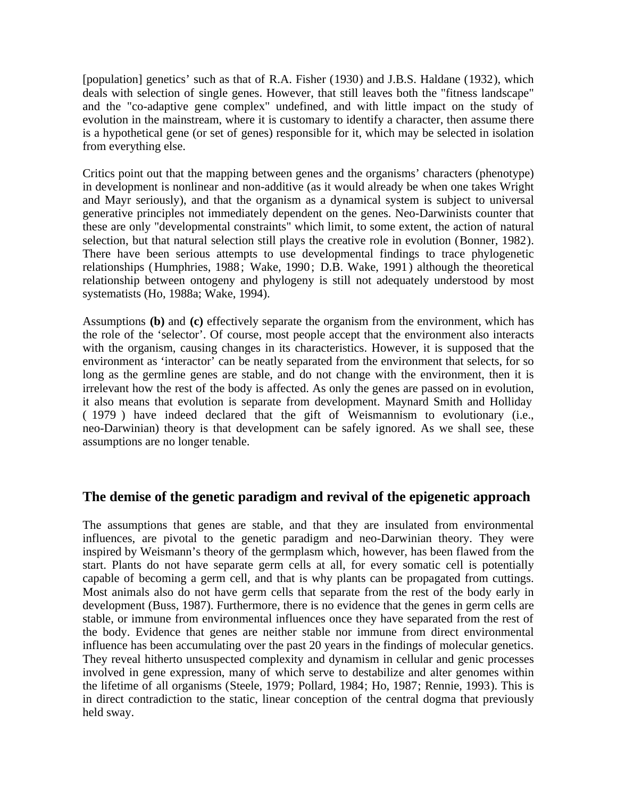[population] genetics' such as that of R.A. Fisher (1930) and J.B.S. Haldane (1932), which deals with selection of single genes. However, that still leaves both the "fitness landscape" and the "co-adaptive gene complex" undefined, and with little impact on the study of evolution in the mainstream, where it is customary to identify a character, then assume there is a hypothetical gene (or set of genes) responsible for it, which may be selected in isolation from everything else.

Critics point out that the mapping between genes and the organisms' characters (phenotype) in development is nonlinear and non-additive (as it would already be when one takes Wright and Mayr seriously), and that the organism as a dynamical system is subject to universal generative principles not immediately dependent on the genes. Neo-Darwinists counter that these are only "developmental constraints" which limit, to some extent, the action of natural selection, but that natural selection still plays the creative role in evolution (Bonner, 1982). There have been serious attempts to use developmental findings to trace phylogenetic relationships (Humphries, 1988; Wake, 1990; D.B. Wake, 1991) although the theoretical relationship between ontogeny and phylogeny is still not adequately understood by most systematists (Ho, 1988a; Wake, 1994).

Assumptions **(b)** and **(c)** effectively separate the organism from the environment, which has the role of the 'selector'. Of course, most people accept that the environment also interacts with the organism, causing changes in its characteristics. However, it is supposed that the environment as 'interactor' can be neatly separated from the environment that selects, for so long as the germline genes are stable, and do not change with the environment, then it is irrelevant how the rest of the body is affected. As only the genes are passed on in evolution, it also means that evolution is separate from development. Maynard Smith and Holliday ( 1979 ) have indeed declared that the gift of Weismannism to evolutionary (i.e., neo-Darwinian) theory is that development can be safely ignored. As we shall see, these assumptions are no longer tenable.

## **The demise of the genetic paradigm and revival of the epigenetic approach**

The assumptions that genes are stable, and that they are insulated from environmental influences, are pivotal to the genetic paradigm and neo-Darwinian theory. They were inspired by Weismann's theory of the germplasm which, however, has been flawed from the start. Plants do not have separate germ cells at all, for every somatic cell is potentially capable of becoming a germ cell, and that is why plants can be propagated from cuttings. Most animals also do not have germ cells that separate from the rest of the body early in development (Buss, 1987). Furthermore, there is no evidence that the genes in germ cells are stable, or immune from environmental influences once they have separated from the rest of the body. Evidence that genes are neither stable nor immune from direct environmental influence has been accumulating over the past 20 years in the findings of molecular genetics. They reveal hitherto unsuspected complexity and dynamism in cellular and genic processes involved in gene expression, many of which serve to destabilize and alter genomes within the lifetime of all organisms (Steele, 1979; Pollard, 1984; Ho, 1987; Rennie, 1993). This is in direct contradiction to the static, linear conception of the central dogma that previously held sway.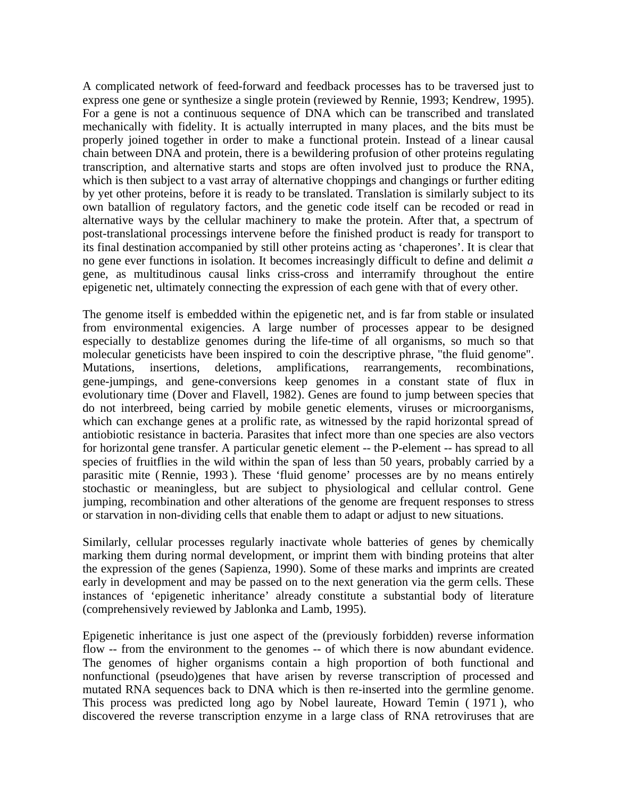A complicated network of feed-forward and feedback processes has to be traversed just to express one gene or synthesize a single protein (reviewed by Rennie, 1993; Kendrew, 1995). For a gene is not a continuous sequence of DNA which can be transcribed and translated mechanically with fidelity. It is actually interrupted in many places, and the bits must be properly joined together in order to make a functional protein. Instead of a linear causal chain between DNA and protein, there is a bewildering profusion of other proteins regulating transcription, and alternative starts and stops are often involved just to produce the RNA, which is then subject to a vast array of alternative choppings and changings or further editing by yet other proteins, before it is ready to be translated. Translation is similarly subject to its own batallion of regulatory factors, and the genetic code itself can be recoded or read in alternative ways by the cellular machinery to make the protein. After that, a spectrum of post-translational processings intervene before the finished product is ready for transport to its final destination accompanied by still other proteins acting as 'chaperones'. It is clear that no gene ever functions in isolation. It becomes increasingly difficult to define and delimit *a* gene, as multitudinous causal links criss-cross and interramify throughout the entire epigenetic net, ultimately connecting the expression of each gene with that of every other.

The genome itself is embedded within the epigenetic net, and is far from stable or insulated from environmental exigencies. A large number of processes appear to be designed especially to destablize genomes during the life-time of all organisms, so much so that molecular geneticists have been inspired to coin the descriptive phrase, "the fluid genome". Mutations, insertions, deletions, amplifications, rearrangements, recombinations, gene-jumpings, and gene-conversions keep genomes in a constant state of flux in evolutionary time (Dover and Flavell, 1982). Genes are found to jump between species that do not interbreed, being carried by mobile genetic elements, viruses or microorganisms, which can exchange genes at a prolific rate, as witnessed by the rapid horizontal spread of antiobiotic resistance in bacteria. Parasites that infect more than one species are also vectors for horizontal gene transfer. A particular genetic element -- the P-element -- has spread to all species of fruitflies in the wild within the span of less than 50 years, probably carried by a parasitic mite ( Rennie, 1993 ). These 'fluid genome' processes are by no means entirely stochastic or meaningless, but are subject to physiological and cellular control. Gene jumping, recombination and other alterations of the genome are frequent responses to stress or starvation in non-dividing cells that enable them to adapt or adjust to new situations.

Similarly, cellular processes regularly inactivate whole batteries of genes by chemically marking them during normal development, or imprint them with binding proteins that alter the expression of the genes (Sapienza, 1990). Some of these marks and imprints are created early in development and may be passed on to the next generation via the germ cells. These instances of 'epigenetic inheritance' already constitute a substantial body of literature (comprehensively reviewed by Jablonka and Lamb, 1995).

Epigenetic inheritance is just one aspect of the (previously forbidden) reverse information flow -- from the environment to the genomes -- of which there is now abundant evidence. The genomes of higher organisms contain a high proportion of both functional and nonfunctional (pseudo)genes that have arisen by reverse transcription of processed and mutated RNA sequences back to DNA which is then re-inserted into the germline genome. This process was predicted long ago by Nobel laureate, Howard Temin ( 1971 ), who discovered the reverse transcription enzyme in a large class of RNA retroviruses that are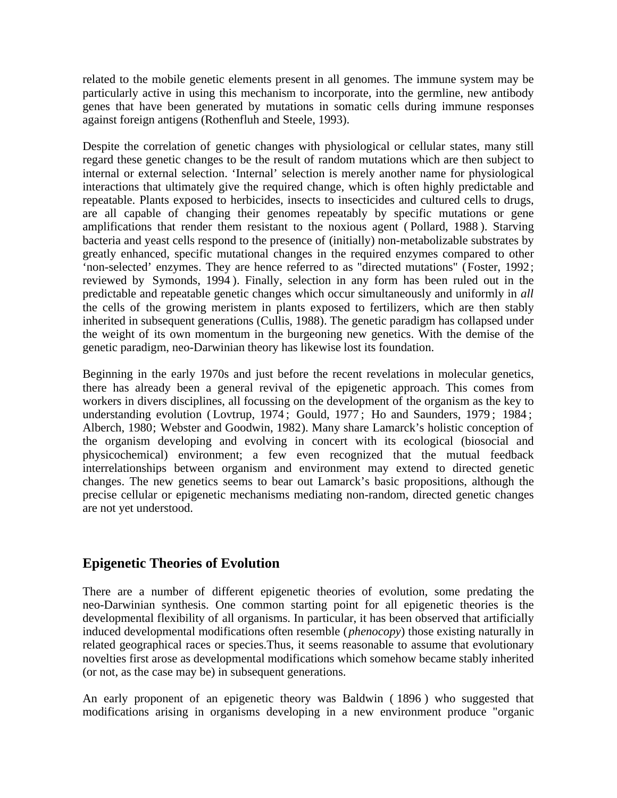related to the mobile genetic elements present in all genomes. The immune system may be particularly active in using this mechanism to incorporate, into the germline, new antibody genes that have been generated by mutations in somatic cells during immune responses against foreign antigens (Rothenfluh and Steele, 1993).

Despite the correlation of genetic changes with physiological or cellular states, many still regard these genetic changes to be the result of random mutations which are then subject to internal or external selection. 'Internal' selection is merely another name for physiological interactions that ultimately give the required change, which is often highly predictable and repeatable. Plants exposed to herbicides, insects to insecticides and cultured cells to drugs, are all capable of changing their genomes repeatably by specific mutations or gene amplifications that render them resistant to the noxious agent ( Pollard, 1988 ). Starving bacteria and yeast cells respond to the presence of (initially) non-metabolizable substrates by greatly enhanced, specific mutational changes in the required enzymes compared to other 'non-selected' enzymes. They are hence referred to as "directed mutations" (Foster, 1992; reviewed by Symonds, 1994 ). Finally, selection in any form has been ruled out in the predictable and repeatable genetic changes which occur simultaneously and uniformly in *all* the cells of the growing meristem in plants exposed to fertilizers, which are then stably inherited in subsequent generations (Cullis, 1988). The genetic paradigm has collapsed under the weight of its own momentum in the burgeoning new genetics. With the demise of the genetic paradigm, neo-Darwinian theory has likewise lost its foundation.

Beginning in the early 1970s and just before the recent revelations in molecular genetics, there has already been a general revival of the epigenetic approach. This comes from workers in divers disciplines, all focussing on the development of the organism as the key to understanding evolution (Lovtrup, 1974; Gould, 1977; Ho and Saunders, 1979; 1984; Alberch, 1980; Webster and Goodwin, 1982). Many share Lamarck's holistic conception of the organism developing and evolving in concert with its ecological (biosocial and physicochemical) environment; a few even recognized that the mutual feedback interrelationships between organism and environment may extend to directed genetic changes. The new genetics seems to bear out Lamarck's basic propositions, although the precise cellular or epigenetic mechanisms mediating non-random, directed genetic changes are not yet understood.

# **Epigenetic Theories of Evolution**

There are a number of different epigenetic theories of evolution, some predating the neo-Darwinian synthesis. One common starting point for all epigenetic theories is the developmental flexibility of all organisms. In particular, it has been observed that artificially induced developmental modifications often resemble (*phenocopy*) those existing naturally in related geographical races or species.Thus, it seems reasonable to assume that evolutionary novelties first arose as developmental modifications which somehow became stably inherited (or not, as the case may be) in subsequent generations.

An early proponent of an epigenetic theory was Baldwin ( 1896 ) who suggested that modifications arising in organisms developing in a new environment produce "organic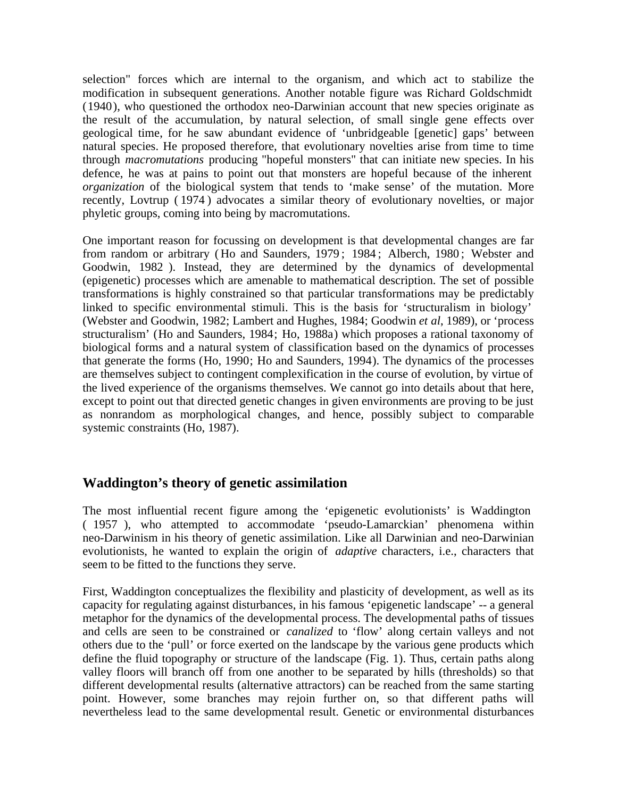selection" forces which are internal to the organism, and which act to stabilize the modification in subsequent generations. Another notable figure was Richard Goldschmidt (1940), who questioned the orthodox neo-Darwinian account that new species originate as the result of the accumulation, by natural selection, of small single gene effects over geological time, for he saw abundant evidence of 'unbridgeable [genetic] gaps' between natural species. He proposed therefore, that evolutionary novelties arise from time to time through *macromutations* producing "hopeful monsters" that can initiate new species. In his defence, he was at pains to point out that monsters are hopeful because of the inherent *organization* of the biological system that tends to 'make sense' of the mutation. More recently, Lovtrup ( 1974 ) advocates a similar theory of evolutionary novelties, or major phyletic groups, coming into being by macromutations.

One important reason for focussing on development is that developmental changes are far from random or arbitrary ( Ho and Saunders, 1979 ; 1984 ; Alberch, 1980 ; Webster and Goodwin, 1982 ). Instead, they are determined by the dynamics of developmental (epigenetic) processes which are amenable to mathematical description. The set of possible transformations is highly constrained so that particular transformations may be predictably linked to specific environmental stimuli. This is the basis for 'structuralism in biology' (Webster and Goodwin, 1982; Lambert and Hughes, 1984; Goodwin *et al*, 1989), or 'process structuralism' (Ho and Saunders, 1984; Ho, 1988a) which proposes a rational taxonomy of biological forms and a natural system of classification based on the dynamics of processes that generate the forms (Ho, 1990; Ho and Saunders, 1994). The dynamics of the processes are themselves subject to contingent complexification in the course of evolution, by virtue of the lived experience of the organisms themselves. We cannot go into details about that here, except to point out that directed genetic changes in given environments are proving to be just as nonrandom as morphological changes, and hence, possibly subject to comparable systemic constraints (Ho, 1987).

## **Waddington's theory of genetic assimilation**

The most influential recent figure among the 'epigenetic evolutionists' is Waddington ( 1957 ), who attempted to accommodate 'pseudo-Lamarckian' phenomena within neo-Darwinism in his theory of genetic assimilation. Like all Darwinian and neo-Darwinian evolutionists, he wanted to explain the origin of *adaptive* characters, i.e., characters that seem to be fitted to the functions they serve.

First, Waddington conceptualizes the flexibility and plasticity of development, as well as its capacity for regulating against disturbances, in his famous 'epigenetic landscape' -- a general metaphor for the dynamics of the developmental process. The developmental paths of tissues and cells are seen to be constrained or *canalized* to 'flow' along certain valleys and not others due to the 'pull' or force exerted on the landscape by the various gene products which define the fluid topography or structure of the landscape (Fig. 1). Thus, certain paths along valley floors will branch off from one another to be separated by hills (thresholds) so that different developmental results (alternative attractors) can be reached from the same starting point. However, some branches may rejoin further on, so that different paths will nevertheless lead to the same developmental result. Genetic or environmental disturbances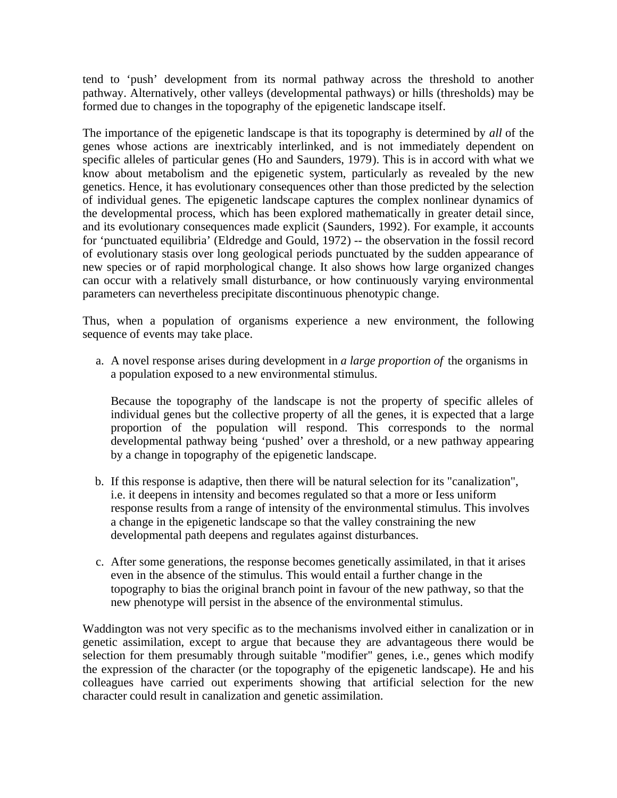tend to 'push' development from its normal pathway across the threshold to another pathway. Alternatively, other valleys (developmental pathways) or hills (thresholds) may be formed due to changes in the topography of the epigenetic landscape itself.

The importance of the epigenetic landscape is that its topography is determined by *all* of the genes whose actions are inextricably interlinked, and is not immediately dependent on specific alleles of particular genes (Ho and Saunders, 1979). This is in accord with what we know about metabolism and the epigenetic system, particularly as revealed by the new genetics. Hence, it has evolutionary consequences other than those predicted by the selection of individual genes. The epigenetic landscape captures the complex nonlinear dynamics of the developmental process, which has been explored mathematically in greater detail since, and its evolutionary consequences made explicit (Saunders, 1992). For example, it accounts for 'punctuated equilibria' (Eldredge and Gould, 1972) -- the observation in the fossil record of evolutionary stasis over long geological periods punctuated by the sudden appearance of new species or of rapid morphological change. It also shows how large organized changes can occur with a relatively small disturbance, or how continuously varying environmental parameters can nevertheless precipitate discontinuous phenotypic change.

Thus, when a population of organisms experience a new environment, the following sequence of events may take place.

a. A novel response arises during development in *a large proportion of* the organisms in a population exposed to a new environmental stimulus.

Because the topography of the landscape is not the property of specific alleles of individual genes but the collective property of all the genes, it is expected that a large proportion of the population will respond. This corresponds to the normal developmental pathway being 'pushed' over a threshold, or a new pathway appearing by a change in topography of the epigenetic landscape.

- b. If this response is adaptive, then there will be natural selection for its "canalization", i.e. it deepens in intensity and becomes regulated so that a more or Iess uniform response results from a range of intensity of the environmental stimulus. This involves a change in the epigenetic landscape so that the valley constraining the new developmental path deepens and regulates against disturbances.
- c. After some generations, the response becomes genetically assimilated, in that it arises even in the absence of the stimulus. This would entail a further change in the topography to bias the original branch point in favour of the new pathway, so that the new phenotype will persist in the absence of the environmental stimulus.

Waddington was not very specific as to the mechanisms involved either in canalization or in genetic assimilation, except to argue that because they are advantageous there would be selection for them presumably through suitable "modifier" genes, i.e., genes which modify the expression of the character (or the topography of the epigenetic landscape). He and his colleagues have carried out experiments showing that artificial selection for the new character could result in canalization and genetic assimilation.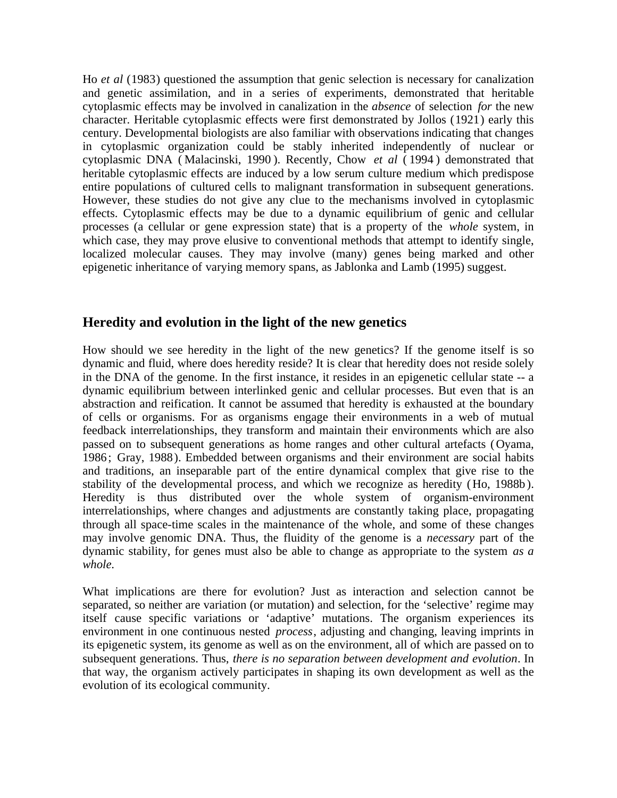Ho *et al* (1983) questioned the assumption that genic selection is necessary for canalization and genetic assimilation, and in a series of experiments, demonstrated that heritable cytoplasmic effects may be involved in canalization in the *absence* of selection *for* the new character. Heritable cytoplasmic effects were first demonstrated by Jollos (1921) early this century. Developmental biologists are also familiar with observations indicating that changes in cytoplasmic organization could be stably inherited independently of nuclear or cytoplasmic DNA ( Malacinski, 1990 ). Recently, Chow *et al* ( 1994 ) demonstrated that heritable cytoplasmic effects are induced by a low serum culture medium which predispose entire populations of cultured cells to malignant transformation in subsequent generations. However, these studies do not give any clue to the mechanisms involved in cytoplasmic effects. Cytoplasmic effects may be due to a dynamic equilibrium of genic and cellular processes (a cellular or gene expression state) that is a property of the *whole* system, in which case, they may prove elusive to conventional methods that attempt to identify single, localized molecular causes. They may involve (many) genes being marked and other epigenetic inheritance of varying memory spans, as Jablonka and Lamb (1995) suggest.

### **Heredity and evolution in the light of the new genetics**

How should we see heredity in the light of the new genetics? If the genome itself is so dynamic and fluid, where does heredity reside? It is clear that heredity does not reside solely in the DNA of the genome. In the first instance, it resides in an epigenetic cellular state -- a dynamic equilibrium between interlinked genic and cellular processes. But even that is an abstraction and reification. It cannot be assumed that heredity is exhausted at the boundary of cells or organisms. For as organisms engage their environments in a web of mutual feedback interrelationships, they transform and maintain their environments which are also passed on to subsequent generations as home ranges and other cultural artefacts ( Oyama, 1986; Gray, 1988). Embedded between organisms and their environment are social habits and traditions, an inseparable part of the entire dynamical complex that give rise to the stability of the developmental process, and which we recognize as heredity ( Ho, 1988b ). Heredity is thus distributed over the whole system of organism-environment interrelationships, where changes and adjustments are constantly taking place, propagating through all space-time scales in the maintenance of the whole, and some of these changes may involve genomic DNA. Thus, the fluidity of the genome is a *necessary* part of the dynamic stability, for genes must also be able to change as appropriate to the system *as a whole*.

What implications are there for evolution? Just as interaction and selection cannot be separated, so neither are variation (or mutation) and selection, for the 'selective' regime may itself cause specific variations or 'adaptive' mutations. The organism experiences its environment in one continuous nested *process*, adjusting and changing, leaving imprints in its epigenetic system, its genome as well as on the environment, all of which are passed on to subsequent generations. Thus, *there is no separation between development and evolution*. In that way, the organism actively participates in shaping its own development as well as the evolution of its ecological community.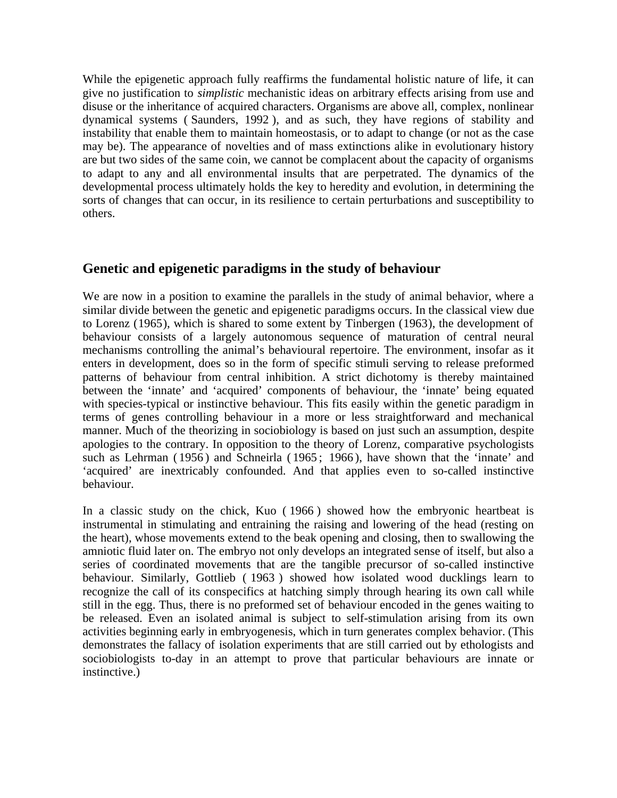While the epigenetic approach fully reaffirms the fundamental holistic nature of life, it can give no justification to *simplistic* mechanistic ideas on arbitrary effects arising from use and disuse or the inheritance of acquired characters. Organisms are above all, complex, nonlinear dynamical systems ( Saunders, 1992 ), and as such, they have regions of stability and instability that enable them to maintain homeostasis, or to adapt to change (or not as the case may be). The appearance of novelties and of mass extinctions alike in evolutionary history are but two sides of the same coin, we cannot be complacent about the capacity of organisms to adapt to any and all environmental insults that are perpetrated. The dynamics of the developmental process ultimately holds the key to heredity and evolution, in determining the sorts of changes that can occur, in its resilience to certain perturbations and susceptibility to others.

### **Genetic and epigenetic paradigms in the study of behaviour**

We are now in a position to examine the parallels in the study of animal behavior, where a similar divide between the genetic and epigenetic paradigms occurs. In the classical view due to Lorenz (1965), which is shared to some extent by Tinbergen (1963), the development of behaviour consists of a largely autonomous sequence of maturation of central neural mechanisms controlling the animal's behavioural repertoire. The environment, insofar as it enters in development, does so in the form of specific stimuli serving to release preformed patterns of behaviour from central inhibition. A strict dichotomy is thereby maintained between the 'innate' and 'acquired' components of behaviour, the 'innate' being equated with species-typical or instinctive behaviour. This fits easily within the genetic paradigm in terms of genes controlling behaviour in a more or less straightforward and mechanical manner. Much of the theorizing in sociobiology is based on just such an assumption, despite apologies to the contrary. In opposition to the theory of Lorenz, comparative psychologists such as Lehrman (1956) and Schneirla (1965; 1966), have shown that the 'innate' and 'acquired' are inextricably confounded. And that applies even to so-called instinctive behaviour.

In a classic study on the chick, Kuo ( 1966 ) showed how the embryonic heartbeat is instrumental in stimulating and entraining the raising and lowering of the head (resting on the heart), whose movements extend to the beak opening and closing, then to swallowing the amniotic fluid later on. The embryo not only develops an integrated sense of itself, but also a series of coordinated movements that are the tangible precursor of so-called instinctive behaviour. Similarly, Gottlieb ( 1963 ) showed how isolated wood ducklings learn to recognize the call of its conspecifics at hatching simply through hearing its own call while still in the egg. Thus, there is no preformed set of behaviour encoded in the genes waiting to be released. Even an isolated animal is subject to self-stimulation arising from its own activities beginning early in embryogenesis, which in turn generates complex behavior. (This demonstrates the fallacy of isolation experiments that are still carried out by ethologists and sociobiologists to-day in an attempt to prove that particular behaviours are innate or instinctive.)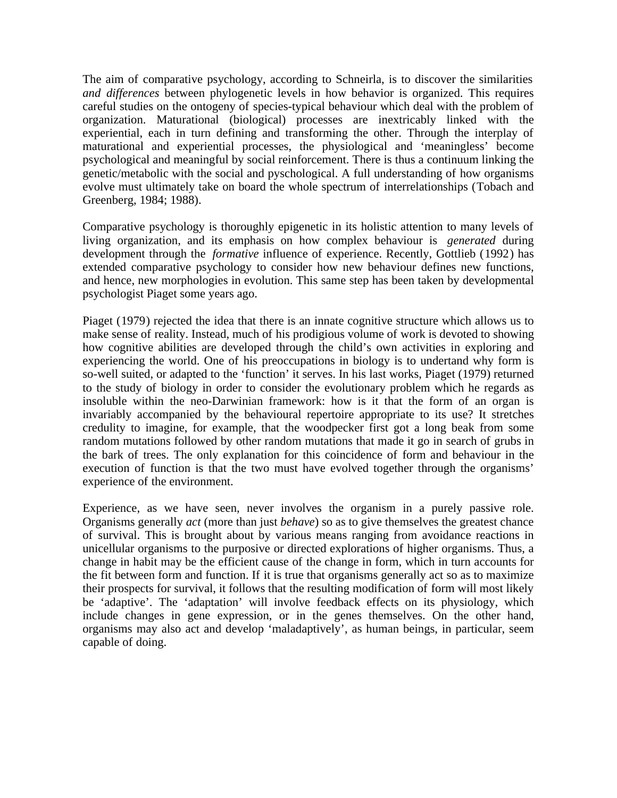The aim of comparative psychology, according to Schneirla, is to discover the similarities *and differences* between phylogenetic levels in how behavior is organized. This requires careful studies on the ontogeny of species-typical behaviour which deal with the problem of organization. Maturational (biological) processes are inextricably linked with the experiential, each in turn defining and transforming the other. Through the interplay of maturational and experiential processes, the physiological and 'meaningless' become psychological and meaningful by social reinforcement. There is thus a continuum linking the genetic/metabolic with the social and pyschological. A full understanding of how organisms evolve must ultimately take on board the whole spectrum of interrelationships (Tobach and Greenberg, 1984; 1988).

Comparative psychology is thoroughly epigenetic in its holistic attention to many levels of living organization, and its emphasis on how complex behaviour is *generated* during development through the *formative* influence of experience. Recently, Gottlieb (1992) has extended comparative psychology to consider how new behaviour defines new functions, and hence, new morphologies in evolution. This same step has been taken by developmental psychologist Piaget some years ago.

Piaget (1979) rejected the idea that there is an innate cognitive structure which allows us to make sense of reality. Instead, much of his prodigious volume of work is devoted to showing how cognitive abilities are developed through the child's own activities in exploring and experiencing the world. One of his preoccupations in biology is to undertand why form is so-well suited, or adapted to the 'function' it serves. In his last works, Piaget (1979) returned to the study of biology in order to consider the evolutionary problem which he regards as insoluble within the neo-Darwinian framework: how is it that the form of an organ is invariably accompanied by the behavioural repertoire appropriate to its use? It stretches credulity to imagine, for example, that the woodpecker first got a long beak from some random mutations followed by other random mutations that made it go in search of grubs in the bark of trees. The only explanation for this coincidence of form and behaviour in the execution of function is that the two must have evolved together through the organisms' experience of the environment.

Experience, as we have seen, never involves the organism in a purely passive role. Organisms generally *act* (more than just *behave*) so as to give themselves the greatest chance of survival. This is brought about by various means ranging from avoidance reactions in unicellular organisms to the purposive or directed explorations of higher organisms. Thus, a change in habit may be the efficient cause of the change in form, which in turn accounts for the fit between form and function. If it is true that organisms generally act so as to maximize their prospects for survival, it follows that the resulting modification of form will most likely be 'adaptive'. The 'adaptation' will involve feedback effects on its physiology, which include changes in gene expression, or in the genes themselves. On the other hand, organisms may also act and develop 'maladaptively', as human beings, in particular, seem capable of doing.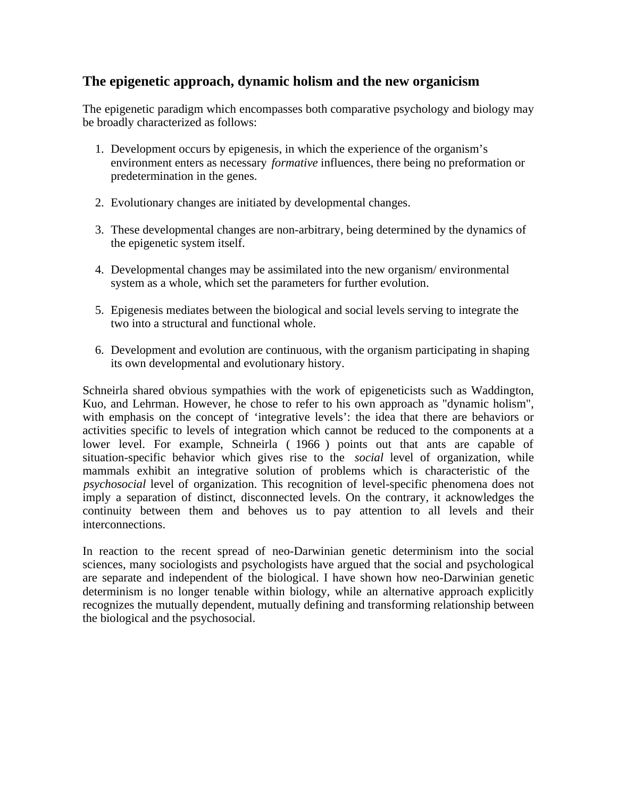## **The epigenetic approach, dynamic holism and the new organicism**

The epigenetic paradigm which encompasses both comparative psychology and biology may be broadly characterized as follows:

- 1. Development occurs by epigenesis, in which the experience of the organism's environment enters as necessary *formative* influences, there being no preformation or predetermination in the genes.
- 2. Evolutionary changes are initiated by developmental changes.
- 3. These developmental changes are non-arbitrary, being determined by the dynamics of the epigenetic system itself.
- 4. Developmental changes may be assimilated into the new organism/ environmental system as a whole, which set the parameters for further evolution.
- 5. Epigenesis mediates between the biological and social levels serving to integrate the two into a structural and functional whole.
- 6. Development and evolution are continuous, with the organism participating in shaping its own developmental and evolutionary history.

Schneirla shared obvious sympathies with the work of epigeneticists such as Waddington, Kuo, and Lehrman. However, he chose to refer to his own approach as "dynamic holism", with emphasis on the concept of 'integrative levels': the idea that there are behaviors or activities specific to levels of integration which cannot be reduced to the components at a lower level. For example, Schneirla ( 1966 ) points out that ants are capable of situation-specific behavior which gives rise to the *social* level of organization, while mammals exhibit an integrative solution of problems which is characteristic of the *psychosocial* level of organization. This recognition of level-specific phenomena does not imply a separation of distinct, disconnected levels. On the contrary, it acknowledges the continuity between them and behoves us to pay attention to all levels and their interconnections.

In reaction to the recent spread of neo-Darwinian genetic determinism into the social sciences, many sociologists and psychologists have argued that the social and psychological are separate and independent of the biological. I have shown how neo-Darwinian genetic determinism is no longer tenable within biology, while an alternative approach explicitly recognizes the mutually dependent, mutually defining and transforming relationship between the biological and the psychosocial.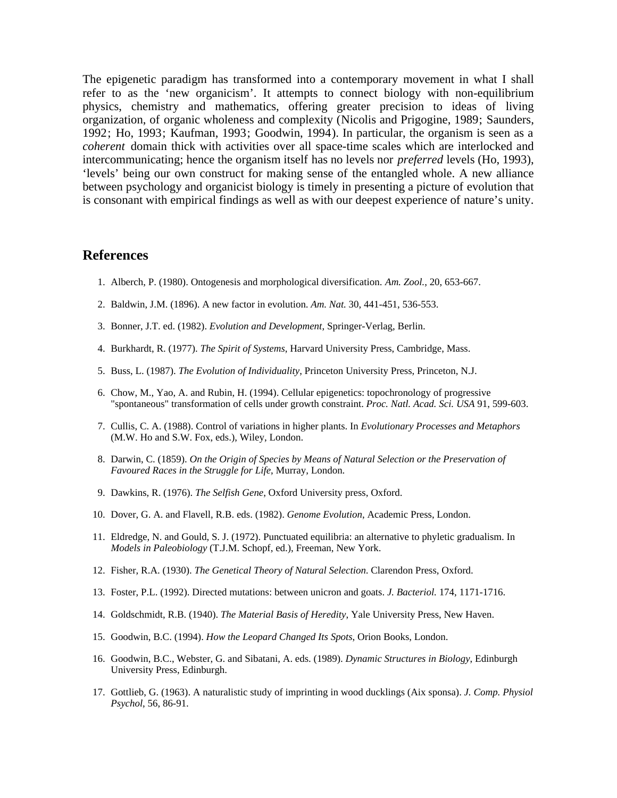The epigenetic paradigm has transformed into a contemporary movement in what I shall refer to as the 'new organicism'. It attempts to connect biology with non-equilibrium physics, chemistry and mathematics, offering greater precision to ideas of living organization, of organic wholeness and complexity (Nicolis and Prigogine, 1989; Saunders, 1992; Ho, 1993; Kaufman, 1993; Goodwin, 1994). In particular, the organism is seen as a *coherent* domain thick with activities over all space-time scales which are interlocked and intercommunicating; hence the organism itself has no levels nor *preferred* levels (Ho, 1993), 'levels' being our own construct for making sense of the entangled whole. A new alliance between psychology and organicist biology is timely in presenting a picture of evolution that is consonant with empirical findings as well as with our deepest experience of nature's unity.

#### **References**

- 1. Alberch, P. (1980). Ontogenesis and morphological diversification. *Am. Zool.*, 20, 653-667.
- 2. Baldwin, J.M. (1896). A new factor in evolution. *Am. Nat.* 30, 441-451, 536-553.
- 3. Bonner, J.T. ed. (1982). *Evolution and Development*, Springer-Verlag, Berlin.
- 4. Burkhardt, R. (1977). *The Spirit of Systems*, Harvard University Press, Cambridge, Mass.
- 5. Buss, L. (1987). *The Evolution of Individuality*, Princeton University Press, Princeton, N.J.
- 6. Chow, M., Yao, A. and Rubin, H. (1994). Cellular epigenetics: topochronology of progressive "spontaneous" transformation of cells under growth constraint. *Proc. Natl. Acad. Sci. USA* 91, 599-603.
- 7. Cullis, C. A. (1988). Control of variations in higher plants. In *Evolutionary Processes and Metaphors* (M.W. Ho and S.W. Fox, eds.), Wiley, London.
- 8. Darwin, C. (1859). *On the Origin of Species by Means of Natural Selection or the Preservation of Favoured Races in the Struggle for Life*, Murray, London.
- 9. Dawkins, R. (1976). *The Selfish Gene*, Oxford University press, Oxford.
- 10. Dover, G. A. and Flavell, R.B. eds. (1982). *Genome Evolution*, Academic Press, London.
- 11. Eldredge, N. and Gould, S. J. (1972). Punctuated equilibria: an alternative to phyletic gradualism. In *Models in Paleobiology* (T.J.M. Schopf, ed.), Freeman, New York.
- 12. Fisher, R.A. (1930). *The Genetical Theory of Natural Selection*. Clarendon Press, Oxford.
- 13. Foster, P.L. (1992). Directed mutations: between unicron and goats. *J. Bacteriol.* 174, 1171-1716.
- 14. Goldschmidt, R.B. (1940). *The Material Basis of Heredity*, Yale University Press, New Haven.
- 15. Goodwin, B.C. (1994). *How the Leopard Changed Its Spots*, Orion Books, London.
- 16. Goodwin, B.C., Webster, G. and Sibatani, A. eds. (1989). *Dynamic Structures in Biology*, Edinburgh University Press, Edinburgh.
- 17. Gottlieb, G. (1963). A naturalistic study of imprinting in wood ducklings (Aix sponsa). *J. Comp. Physiol Psychol*, 56, 86-91.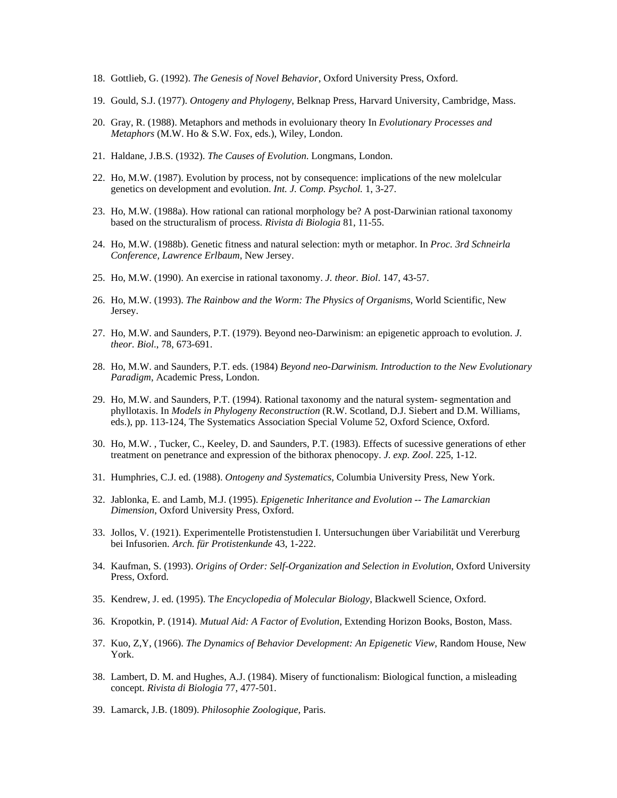- 18. Gottlieb, G. (1992). *The Genesis of Novel Behavior*, Oxford University Press, Oxford.
- 19. Gould, S.J. (1977). *Ontogeny and Phylogeny*, Belknap Press, Harvard University, Cambridge, Mass.
- 20. Gray, R. (1988). Metaphors and methods in evoluionary theory In *Evolutionary Processes and Metaphors* (M.W. Ho & S.W. Fox, eds.), Wiley, London.
- 21. Haldane, J.B.S. (1932). *The Causes of Evolution*. Longmans, London.
- 22. Ho, M.W. (1987). Evolution by process, not by consequence: implications of the new molelcular genetics on development and evolution. *Int. J. Comp. Psychol.* 1, 3-27.
- 23. Ho, M.W. (1988a). How rational can rational morphology be? A post-Darwinian rational taxonomy based on the structuralism of process. *Rivista di Biologia* 81, 11-55.
- 24. Ho, M.W. (1988b). Genetic fitness and natural selection: myth or metaphor. In *Proc. 3rd Schneirla Conference, Lawrence Erlbaum*, New Jersey.
- 25. Ho, M.W. (1990). An exercise in rational taxonomy. *J. theor. Biol*. 147, 43-57.
- 26. Ho, M.W. (1993). *The Rainbow and the Worm: The Physics of Organisms*, World Scientific, New Jersey.
- 27. Ho, M.W. and Saunders, P.T. (1979). Beyond neo-Darwinism: an epigenetic approach to evolution. *J. theor. Biol*., 78, 673-691.
- 28. Ho, M.W. and Saunders, P.T. eds. (1984) *Beyond neo-Darwinism. Introduction to the New Evolutionary Paradigm*, Academic Press, London.
- 29. Ho, M.W. and Saunders, P.T. (1994). Rational taxonomy and the natural system- segmentation and phyllotaxis. In *Models in Phylogeny Reconstruction* (R.W. Scotland, D.J. Siebert and D.M. Williams, eds.), pp. 113-124, The Systematics Association Special Volume 52, Oxford Science, Oxford.
- 30. Ho, M.W. , Tucker, C., Keeley, D. and Saunders, P.T. (1983). Effects of sucessive generations of ether treatment on penetrance and expression of the bithorax phenocopy. *J. exp. Zool*. 225, 1-12.
- 31. Humphries, C.J. ed. (1988). *Ontogeny and Systematics*, Columbia University Press, New York.
- 32. Jablonka, E. and Lamb, M.J. (1995). *Epigenetic Inheritance and Evolution -- The Lamarckian Dimension*, Oxford University Press, Oxford.
- 33. Jollos, V. (1921). Experimentelle Protistenstudien I. Untersuchungen über Variabilität und Vererburg bei Infusorien. *Arch. für Protistenkunde* 43, 1-222.
- 34. Kaufman, S. (1993). *Origins of Order: Self-Organization and Selection in Evolution*, Oxford University Press, Oxford.
- 35. Kendrew, J. ed. (1995). T*he Encyclopedia of Molecular Biology*, Blackwell Science, Oxford.
- 36. Kropotkin, P. (1914). *Mutual Aid: A Factor of Evolution*, Extending Horizon Books, Boston, Mass.
- 37. Kuo, Z,Y, (1966). *The Dynamics of Behavior Development: An Epigenetic View*, Random House, New York.
- 38. Lambert, D. M. and Hughes, A.J. (1984). Misery of functionalism: Biological function, a misleading concept. *Rivista di Biologia* 77, 477-501.
- 39. Lamarck, J.B. (1809). *Philosophie Zoologique,* Paris.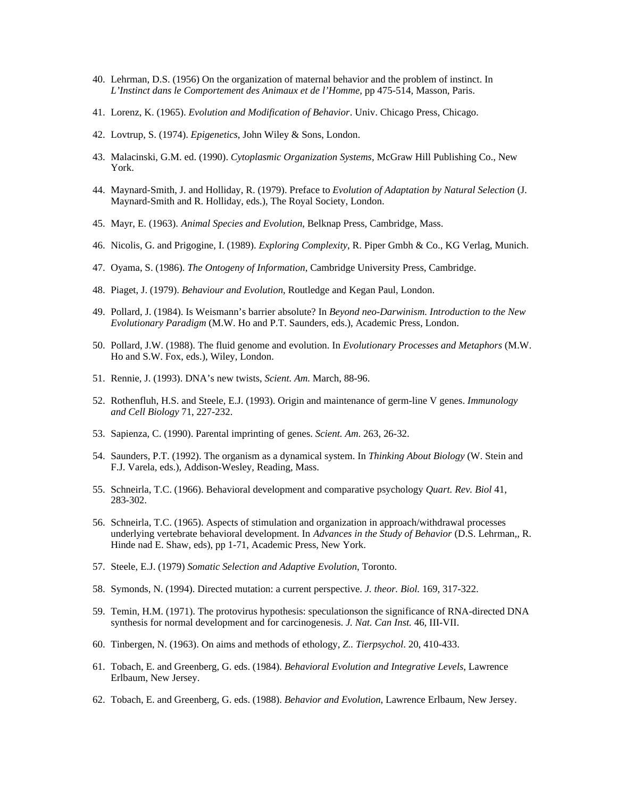- 40. Lehrman, D.S. (1956) On the organization of maternal behavior and the problem of instinct. In *L'Instinct dans le Comportement des Animaux et de l'Homme,* pp 475-514, Masson, Paris.
- 41. Lorenz, K. (1965). *Evolution and Modification of Behavior*. Univ. Chicago Press, Chicago.
- 42. Lovtrup, S. (1974). *Epigenetics*, John Wiley & Sons, London.
- 43. Malacinski, G.M. ed. (1990). *Cytoplasmic Organization Systems*, McGraw Hill Publishing Co., New York.
- 44. Maynard-Smith, J. and Holliday, R. (1979). Preface to *Evolution of Adaptation by Natural Selection* (J. Maynard-Smith and R. Holliday, eds.), The Royal Society, London.
- 45. Mayr, E. (1963). *Animal Species and Evolution*, Belknap Press, Cambridge, Mass.
- 46. Nicolis, G. and Prigogine, I. (1989). *Exploring Complexity*, R. Piper Gmbh & Co., KG Verlag, Munich.
- 47. Oyama, S. (1986). *The Ontogeny of Information*, Cambridge University Press, Cambridge.
- 48. Piaget, J. (1979). *Behaviour and Evolution*, Routledge and Kegan Paul, London.
- 49. Pollard, J. (1984). Is Weismann's barrier absolute? In *Beyond neo-Darwinism. Introduction to the New Evolutionary Paradigm* (M.W. Ho and P.T. Saunders, eds.), Academic Press, London.
- 50. Pollard, J.W. (1988). The fluid genome and evolution. In *Evolutionary Processes and Metaphors* (M.W. Ho and S.W. Fox, eds.), Wiley, London.
- 51. Rennie, J. (1993). DNA's new twists, *Scient. Am.* March, 88-96.
- 52. Rothenfluh, H.S. and Steele, E.J. (1993). Origin and maintenance of germ-line V genes. *Immunology and Cell Biology* 71, 227-232.
- 53. Sapienza, C. (1990). Parental imprinting of genes. *Scient. Am*. 263, 26-32.
- 54. Saunders, P.T. (1992). The organism as a dynamical system. In *Thinking About Biology* (W. Stein and F.J. Varela, eds.), Addison-Wesley, Reading, Mass.
- 55. Schneirla, T.C. (1966). Behavioral development and comparative psychology *Quart. Rev. Biol* 41, 283-302.
- 56. Schneirla, T.C. (1965). Aspects of stimulation and organization in approach/withdrawal processes underlying vertebrate behavioral development. In *Advances in the Study of Behavior* (D.S. Lehrman,, R. Hinde nad E. Shaw, eds), pp 1-71, Academic Press, New York.
- 57. Steele, E.J. (1979) *Somatic Selection and Adaptive Evolution*, Toronto.
- 58. Symonds, N. (1994). Directed mutation: a current perspective. *J. theor. Biol.* 169, 317-322.
- 59. Temin, H.M. (1971). The protovirus hypothesis: speculationson the significance of RNA-directed DNA synthesis for normal development and for carcinogenesis. *J. Nat. Can Inst.* 46, III-VII.
- 60. Tinbergen, N. (1963). On aims and methods of ethology, *Z.. Tierpsychol*. 20, 410-433.
- 61. Tobach, E. and Greenberg, G. eds. (1984). *Behavioral Evolution and Integrative Levels*, Lawrence Erlbaum, New Jersey.
- 62. Tobach, E. and Greenberg, G. eds. (1988). *Behavior and Evolution*, Lawrence Erlbaum, New Jersey.